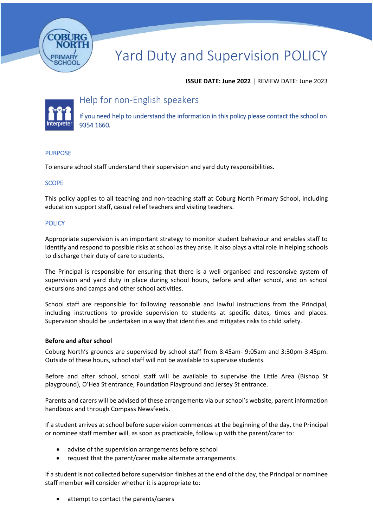

# Yard Duty and Supervision POLICY

## **ISSUE DATE: June 2022** | REVIEW DATE: June 2023



# Help for non-English speakers

If you need help to understand the information in this policy please contact the school on 9354 1660.

#### PURPOSE

To ensure school staff understand their supervision and yard duty responsibilities.

#### **SCOPE**

This policy applies to all teaching and non-teaching staff at Coburg North Primary School, including education support staff, casual relief teachers and visiting teachers.

#### **POLICY**

Appropriate supervision is an important strategy to monitor student behaviour and enables staff to identify and respond to possible risks at school as they arise. It also plays a vital role in helping schools to discharge their duty of care to students.

The Principal is responsible for ensuring that there is a well organised and responsive system of supervision and yard duty in place during school hours, before and after school, and on school excursions and camps and other school activities.

School staff are responsible for following reasonable and lawful instructions from the Principal, including instructions to provide supervision to students at specific dates, times and places. Supervision should be undertaken in a way that identifies and mitigates risks to child safety.

#### **Before and after school**

Coburg North's grounds are supervised by school staff from 8:45am- 9:05am and 3:30pm-3:45pm. Outside of these hours, school staff will not be available to supervise students.

Before and after school, school staff will be available to supervise the Little Area (Bishop St playground), O'Hea St entrance, Foundation Playground and Jersey St entrance.

Parents and carers will be advised of these arrangements via our school's website, parent information handbook and through Compass Newsfeeds.

If a student arrives at school before supervision commences at the beginning of the day, the Principal or nominee staff member will, as soon as practicable, follow up with the parent/carer to:

- advise of the supervision arrangements before school
- request that the parent/carer make alternate arrangements.

If a student is not collected before supervision finishes at the end of the day, the Principal or nominee staff member will consider whether it is appropriate to:

• attempt to contact the parents/carers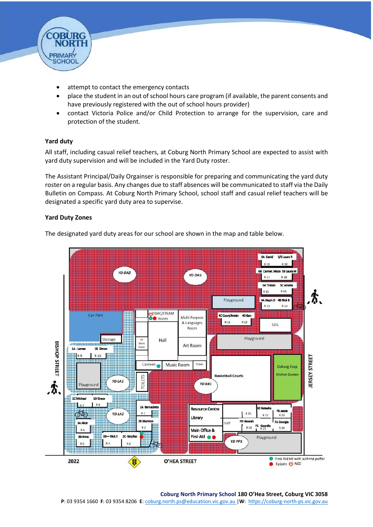

- attempt to contact the emergency contacts
- place the student in an out of school hours care program (if available, the parent consents and have previously registered with the out of school hours provider)
- contact Victoria Police and/or Child Protection to arrange for the supervision, care and protection of the student.

# **Yard duty**

All staff, including casual relief teachers, at Coburg North Primary School are expected to assist with yard duty supervision and will be included in the Yard Duty roster.

The Assistant Principal/Daily Orgainser is responsible for preparing and communicating the yard duty roster on a regular basis. Any changes due to staff absences will be communicated to staff via the Daily Bulletin on Compass. At Coburg North Primary School, school staff and casual relief teachers will be designated a specific yard duty area to supervise.

## **Yard Duty Zones**

The designated yard duty areas for our school are shown in the map and table below.



#### **Coburg North Primary School 180 O'Hea Street, Coburg VIC 3058**

**P**: 03 9354 1660 **F**: 03 9354 8206 **E**: coburg.north.ps@educatiion.vic.gov.au |**W**: [https://coburg-north-ps.vic.gov.au](https://coburg-north-ps.vic.gov.au/)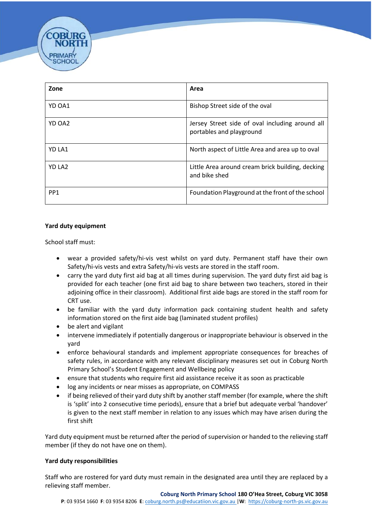| Zone            | Area                                                                        |
|-----------------|-----------------------------------------------------------------------------|
| YD OA1          | Bishop Street side of the oval                                              |
| YD OA2          | Jersey Street side of oval including around all<br>portables and playground |
| YD LA1          | North aspect of Little Area and area up to oval                             |
| YD LA2          | Little Area around cream brick building, decking<br>and bike shed           |
| PP <sub>1</sub> | Foundation Playground at the front of the school                            |

#### **Yard duty equipment**

School staff must:

SCHOO

- wear a provided safety/hi-vis vest whilst on yard duty. Permanent staff have their own Safety/hi-vis vests and extra Safety/hi-vis vests are stored in the staff room.
- carry the yard duty first aid bag at all times during supervision. The yard duty first aid bag is provided for each teacher (one first aid bag to share between two teachers, stored in their adjoining office in their classroom). Additional first aide bags are stored in the staff room for CRT use.
- be familiar with the yard duty information pack containing student health and safety information stored on the first aide bag (laminated student profiles)
- be alert and vigilant
- intervene immediately if potentially dangerous or inappropriate behaviour is observed in the yard
- enforce behavioural standards and implement appropriate consequences for breaches of safety rules, in accordance with any relevant disciplinary measures set out in Coburg North Primary School's Student Engagement and Wellbeing policy
- ensure that students who require first aid assistance receive it as soon as practicable
- log any incidents or near misses as appropriate, on COMPASS
- if being relieved of their yard duty shift by another staff member (for example, where the shift is 'split' into 2 consecutive time periods), ensure that a brief but adequate verbal 'handover' is given to the next staff member in relation to any issues which may have arisen during the first shift

Yard duty equipment must be returned after the period of supervision or handed to the relieving staff member (if they do not have one on them).

#### **Yard duty responsibilities**

Staff who are rostered for yard duty must remain in the designated area until they are replaced by a relieving staff member.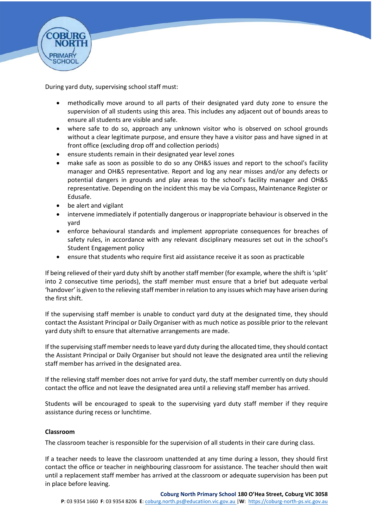

During yard duty, supervising school staff must:

- methodically move around to all parts of their designated yard duty zone to ensure the supervision of all students using this area. This includes any adjacent out of bounds areas to ensure all students are visible and safe.
- where safe to do so, approach any unknown visitor who is observed on school grounds without a clear legitimate purpose, and ensure they have a visitor pass and have signed in at front office (excluding drop off and collection periods)
- ensure students remain in their designated year level zones
- make safe as soon as possible to do so any OH&S issues and report to the school's facility manager and OH&S representative. Report and log any near misses and/or any defects or potential dangers in grounds and play areas to the school's facility manager and OH&S representative. Depending on the incident this may be via Compass, Maintenance Register or Edusafe.
- be alert and vigilant
- intervene immediately if potentially dangerous or inappropriate behaviour is observed in the yard
- enforce behavioural standards and implement appropriate consequences for breaches of safety rules, in accordance with any relevant disciplinary measures set out in the school's Student Engagement policy
- ensure that students who require first aid assistance receive it as soon as practicable

If being relieved of their yard duty shift by another staff member (for example, where the shift is 'split' into 2 consecutive time periods), the staff member must ensure that a brief but adequate verbal 'handover' is given to the relieving staff member in relation to any issues which may have arisen during the first shift.

If the supervising staff member is unable to conduct yard duty at the designated time, they should contact the Assistant Principal or Daily Organiser with as much notice as possible prior to the relevant yard duty shift to ensure that alternative arrangements are made.

If the supervising staff member needs to leave yard duty during the allocated time, they should contact the Assistant Principal or Daily Organiser but should not leave the designated area until the relieving staff member has arrived in the designated area.

If the relieving staff member does not arrive for yard duty, the staff member currently on duty should contact the office and not leave the designated area until a relieving staff member has arrived.

Students will be encouraged to speak to the supervising yard duty staff member if they require assistance during recess or lunchtime.

#### **Classroom**

The classroom teacher is responsible for the supervision of all students in their care during class.

If a teacher needs to leave the classroom unattended at any time during a lesson, they should first contact the office or teacher in neighbouring classroom for assistance. The teacher should then wait until a replacement staff member has arrived at the classroom or adequate supervision has been put in place before leaving.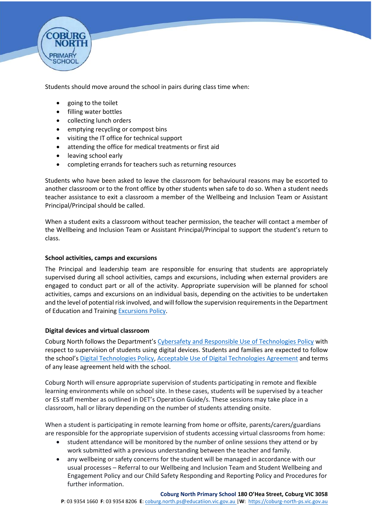

Students should move around the school in pairs during class time when:

- going to the toilet
- filling water bottles
- collecting lunch orders
- emptying recycling or compost bins
- visiting the IT office for technical support
- attending the office for medical treatments or first aid
- leaving school early
- completing errands for teachers such as returning resources

Students who have been asked to leave the classroom for behavioural reasons may be escorted to another classroom or to the front office by other students when safe to do so. When a student needs teacher assistance to exit a classroom a member of the Wellbeing and Inclusion Team or Assistant Principal/Principal should be called.

When a student exits a classroom without teacher permission, the teacher will contact a member of the Wellbeing and Inclusion Team or Assistant Principal/Principal to support the student's return to class.

#### **School activities, camps and excursions**

The Principal and leadership team are responsible for ensuring that students are appropriately supervised during all school activities, camps and excursions, including when external providers are engaged to conduct part or all of the activity. Appropriate supervision will be planned for school activities, camps and excursions on an individual basis, depending on the activities to be undertaken and the level of potential risk involved, and will follow the supervision requirements in the Department of Education and Training **Excursions Policy**.

#### **Digital devices and virtual classroom**

Coburg North follows the Department's [Cybersafety and Responsible Use of Technologies Policy](https://www2.education.vic.gov.au/pal/cybersafety/policy) with respect to supervision of students using digital devices. Students and families are expected to follow the school's [Digital Technologies Policy, Acceptable Use of Digital Technologies Agreement](https://coburg-north-ps.vic.edu.au/uploads/1/2/6/9/126940504/digital_technologies_policy_2020-2022.pdf) and terms of any lease agreement held with the school.

Coburg North will ensure appropriate supervision of students participating in remote and flexible learning environments while on school site. In these cases, students will be supervised by a teacher or ES staff member as outlined in DET's Operation Guide/s. These sessions may take place in a classroom, hall or library depending on the number of students attending onsite.

When a student is participating in remote learning from home or offsite, parents/carers/guardians are responsible for the appropriate supervision of students accessing virtual classrooms from home:

- student attendance will be monitored by the number of online sessions they attend or by work submitted with a previous understanding between the teacher and family.
- any wellbeing or safety concerns for the student will be managed in accordance with our usual processes – Referral to our Wellbeing and Inclusion Team and Student Wellbeing and Engagement Policy and our Child Safety Responding and Reporting Policy and Procedures for further information.

#### **Coburg North Primary School 180 O'Hea Street, Coburg VIC 3058**

**P**: 03 9354 1660 **F**: 03 9354 8206 **E**: coburg.north.ps@educatiion.vic.gov.au |**W**: [https://coburg-north-ps.vic.gov.au](https://coburg-north-ps.vic.gov.au/)